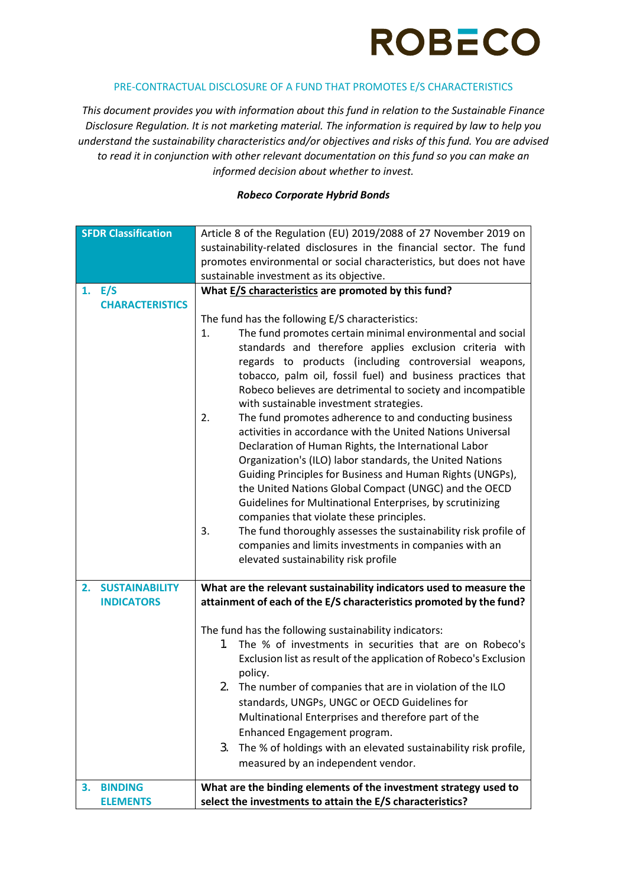

### PRE-CONTRACTUAL DISCLOSURE OF A FUND THAT PROMOTES E/S CHARACTERISTICS

*This document provides you with information about this fund in relation to the Sustainable Finance Disclosure Regulation. It is not marketing material. The information is required by law to help you understand the sustainability characteristics and/or objectives and risks of this fund. You are advised to read it in conjunction with other relevant documentation on this fund so you can make an informed decision about whether to invest.*

#### *Robeco Corporate Hybrid Bonds*

| <b>SFDR Classification</b>  | Article 8 of the Regulation (EU) 2019/2088 of 27 November 2019 on     |
|-----------------------------|-----------------------------------------------------------------------|
|                             | sustainability-related disclosures in the financial sector. The fund  |
|                             | promotes environmental or social characteristics, but does not have   |
|                             | sustainable investment as its objective.                              |
| 1. E/S                      | What E/S characteristics are promoted by this fund?                   |
| <b>CHARACTERISTICS</b>      |                                                                       |
|                             | The fund has the following E/S characteristics:                       |
|                             | The fund promotes certain minimal environmental and social<br>1.      |
|                             | standards and therefore applies exclusion criteria with               |
|                             | regards to products (including controversial weapons,                 |
|                             | tobacco, palm oil, fossil fuel) and business practices that           |
|                             | Robeco believes are detrimental to society and incompatible           |
|                             | with sustainable investment strategies.                               |
|                             | The fund promotes adherence to and conducting business<br>2.          |
|                             | activities in accordance with the United Nations Universal            |
|                             | Declaration of Human Rights, the International Labor                  |
|                             | Organization's (ILO) labor standards, the United Nations              |
|                             | Guiding Principles for Business and Human Rights (UNGPs),             |
|                             | the United Nations Global Compact (UNGC) and the OECD                 |
|                             | Guidelines for Multinational Enterprises, by scrutinizing             |
|                             | companies that violate these principles.                              |
|                             | The fund thoroughly assesses the sustainability risk profile of<br>3. |
|                             | companies and limits investments in companies with an                 |
|                             | elevated sustainability risk profile                                  |
| <b>SUSTAINABILITY</b><br>2. | What are the relevant sustainability indicators used to measure the   |
| <b>INDICATORS</b>           | attainment of each of the E/S characteristics promoted by the fund?   |
|                             |                                                                       |
|                             | The fund has the following sustainability indicators:                 |
|                             | The % of investments in securities that are on Robeco's<br>1.         |
|                             | Exclusion list as result of the application of Robeco's Exclusion     |
|                             | policy.                                                               |
|                             | 2. The number of companies that are in violation of the ILO           |
|                             | standards, UNGPs, UNGC or OECD Guidelines for                         |
|                             | Multinational Enterprises and therefore part of the                   |
|                             | Enhanced Engagement program.                                          |
|                             | The % of holdings with an elevated sustainability risk profile,<br>3. |
|                             | measured by an independent vendor.                                    |
|                             |                                                                       |
| <b>BINDING</b><br>3.        | What are the binding elements of the investment strategy used to      |
| <b>ELEMENTS</b>             | select the investments to attain the E/S characteristics?             |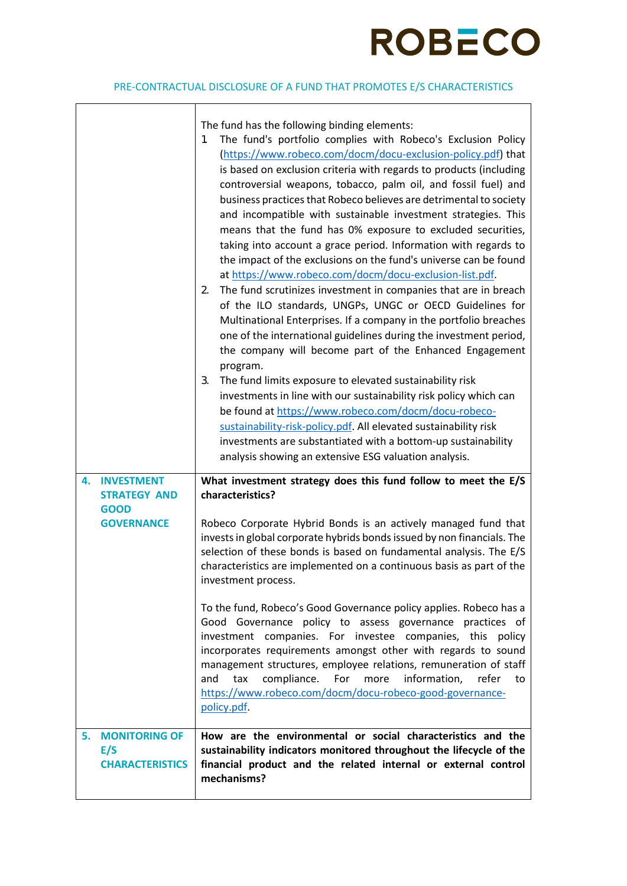# **ROBECO**

# PRE-CONTRACTUAL DISCLOSURE OF A FUND THAT PROMOTES E/S CHARACTERISTICS

|                                                             | The fund has the following binding elements:<br>The fund's portfolio complies with Robeco's Exclusion Policy<br>1.<br>(https://www.robeco.com/docm/docu-exclusion-policy.pdf) that<br>is based on exclusion criteria with regards to products (including<br>controversial weapons, tobacco, palm oil, and fossil fuel) and<br>business practices that Robeco believes are detrimental to society<br>and incompatible with sustainable investment strategies. This<br>means that the fund has 0% exposure to excluded securities,<br>taking into account a grace period. Information with regards to<br>the impact of the exclusions on the fund's universe can be found<br>at https://www.robeco.com/docm/docu-exclusion-list.pdf.<br>The fund scrutinizes investment in companies that are in breach<br>2.<br>of the ILO standards, UNGPs, UNGC or OECD Guidelines for<br>Multinational Enterprises. If a company in the portfolio breaches<br>one of the international guidelines during the investment period,<br>the company will become part of the Enhanced Engagement<br>program.<br>3.<br>The fund limits exposure to elevated sustainability risk<br>investments in line with our sustainability risk policy which can<br>be found at https://www.robeco.com/docm/docu-robeco-<br>sustainability-risk-policy.pdf. All elevated sustainability risk<br>investments are substantiated with a bottom-up sustainability<br>analysis showing an extensive ESG valuation analysis. |
|-------------------------------------------------------------|---------------------------------------------------------------------------------------------------------------------------------------------------------------------------------------------------------------------------------------------------------------------------------------------------------------------------------------------------------------------------------------------------------------------------------------------------------------------------------------------------------------------------------------------------------------------------------------------------------------------------------------------------------------------------------------------------------------------------------------------------------------------------------------------------------------------------------------------------------------------------------------------------------------------------------------------------------------------------------------------------------------------------------------------------------------------------------------------------------------------------------------------------------------------------------------------------------------------------------------------------------------------------------------------------------------------------------------------------------------------------------------------------------------------------------------------------------------------------------------|
| <b>INVESTMENT</b><br>4.                                     | What investment strategy does this fund follow to meet the E/S                                                                                                                                                                                                                                                                                                                                                                                                                                                                                                                                                                                                                                                                                                                                                                                                                                                                                                                                                                                                                                                                                                                                                                                                                                                                                                                                                                                                                        |
| <b>STRATEGY AND</b><br><b>GOOD</b>                          | characteristics?                                                                                                                                                                                                                                                                                                                                                                                                                                                                                                                                                                                                                                                                                                                                                                                                                                                                                                                                                                                                                                                                                                                                                                                                                                                                                                                                                                                                                                                                      |
| <b>GOVERNANCE</b>                                           | Robeco Corporate Hybrid Bonds is an actively managed fund that<br>invests in global corporate hybrids bonds issued by non financials. The<br>selection of these bonds is based on fundamental analysis. The E/S<br>characteristics are implemented on a continuous basis as part of the<br>investment process.                                                                                                                                                                                                                                                                                                                                                                                                                                                                                                                                                                                                                                                                                                                                                                                                                                                                                                                                                                                                                                                                                                                                                                        |
|                                                             | To the fund, Robeco's Good Governance policy applies. Robeco has a<br>Good Governance policy to assess governance practices of<br>investment companies. For investee companies, this policy<br>incorporates requirements amongst other with regards to sound<br>management structures, employee relations, remuneration of staff<br>compliance.<br>information,<br>refer<br>For<br>and<br>tax<br>more<br>to<br>https://www.robeco.com/docm/docu-robeco-good-governance-<br>policy.pdf.                                                                                                                                                                                                                                                                                                                                                                                                                                                                                                                                                                                                                                                                                                                                                                                                                                                                                                                                                                                                |
| <b>MONITORING OF</b><br>5.<br>E/S<br><b>CHARACTERISTICS</b> | How are the environmental or social characteristics and the<br>sustainability indicators monitored throughout the lifecycle of the<br>financial product and the related internal or external control<br>mechanisms?                                                                                                                                                                                                                                                                                                                                                                                                                                                                                                                                                                                                                                                                                                                                                                                                                                                                                                                                                                                                                                                                                                                                                                                                                                                                   |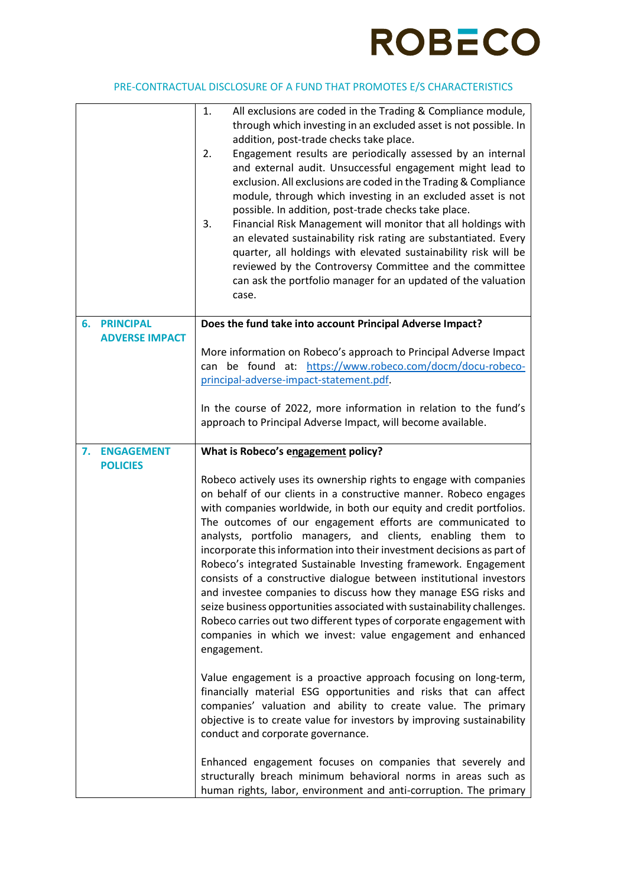

### PRE-CONTRACTUAL DISCLOSURE OF A FUND THAT PROMOTES E/S CHARACTERISTICS

|                                            | 1.<br>All exclusions are coded in the Trading & Compliance module,<br>through which investing in an excluded asset is not possible. In<br>addition, post-trade checks take place.<br>Engagement results are periodically assessed by an internal<br>2.<br>and external audit. Unsuccessful engagement might lead to<br>exclusion. All exclusions are coded in the Trading & Compliance<br>module, through which investing in an excluded asset is not<br>possible. In addition, post-trade checks take place.<br>Financial Risk Management will monitor that all holdings with<br>3.<br>an elevated sustainability risk rating are substantiated. Every<br>quarter, all holdings with elevated sustainability risk will be<br>reviewed by the Controversy Committee and the committee<br>can ask the portfolio manager for an updated of the valuation<br>case.     |
|--------------------------------------------|---------------------------------------------------------------------------------------------------------------------------------------------------------------------------------------------------------------------------------------------------------------------------------------------------------------------------------------------------------------------------------------------------------------------------------------------------------------------------------------------------------------------------------------------------------------------------------------------------------------------------------------------------------------------------------------------------------------------------------------------------------------------------------------------------------------------------------------------------------------------|
| <b>PRINCIPAL</b><br>6.                     | Does the fund take into account Principal Adverse Impact?                                                                                                                                                                                                                                                                                                                                                                                                                                                                                                                                                                                                                                                                                                                                                                                                           |
| <b>ADVERSE IMPACT</b>                      | More information on Robeco's approach to Principal Adverse Impact<br>can be found at: https://www.robeco.com/docm/docu-robeco-<br>principal-adverse-impact-statement.pdf.<br>In the course of 2022, more information in relation to the fund's<br>approach to Principal Adverse Impact, will become available.                                                                                                                                                                                                                                                                                                                                                                                                                                                                                                                                                      |
| <b>ENGAGEMENT</b><br>7.<br><b>POLICIES</b> | What is Robeco's engagement policy?                                                                                                                                                                                                                                                                                                                                                                                                                                                                                                                                                                                                                                                                                                                                                                                                                                 |
|                                            | Robeco actively uses its ownership rights to engage with companies<br>on behalf of our clients in a constructive manner. Robeco engages<br>with companies worldwide, in both our equity and credit portfolios.<br>The outcomes of our engagement efforts are communicated to<br>analysts, portfolio managers, and clients, enabling them to<br>incorporate this information into their investment decisions as part of<br>Robeco's integrated Sustainable Investing framework. Engagement<br>consists of a constructive dialogue between institutional investors<br>and investee companies to discuss how they manage ESG risks and<br>seize business opportunities associated with sustainability challenges.<br>Robeco carries out two different types of corporate engagement with<br>companies in which we invest: value engagement and enhanced<br>engagement. |
|                                            | Value engagement is a proactive approach focusing on long-term,<br>financially material ESG opportunities and risks that can affect<br>companies' valuation and ability to create value. The primary<br>objective is to create value for investors by improving sustainability<br>conduct and corporate governance.                                                                                                                                                                                                                                                                                                                                                                                                                                                                                                                                                 |
|                                            | Enhanced engagement focuses on companies that severely and<br>structurally breach minimum behavioral norms in areas such as<br>human rights, labor, environment and anti-corruption. The primary                                                                                                                                                                                                                                                                                                                                                                                                                                                                                                                                                                                                                                                                    |